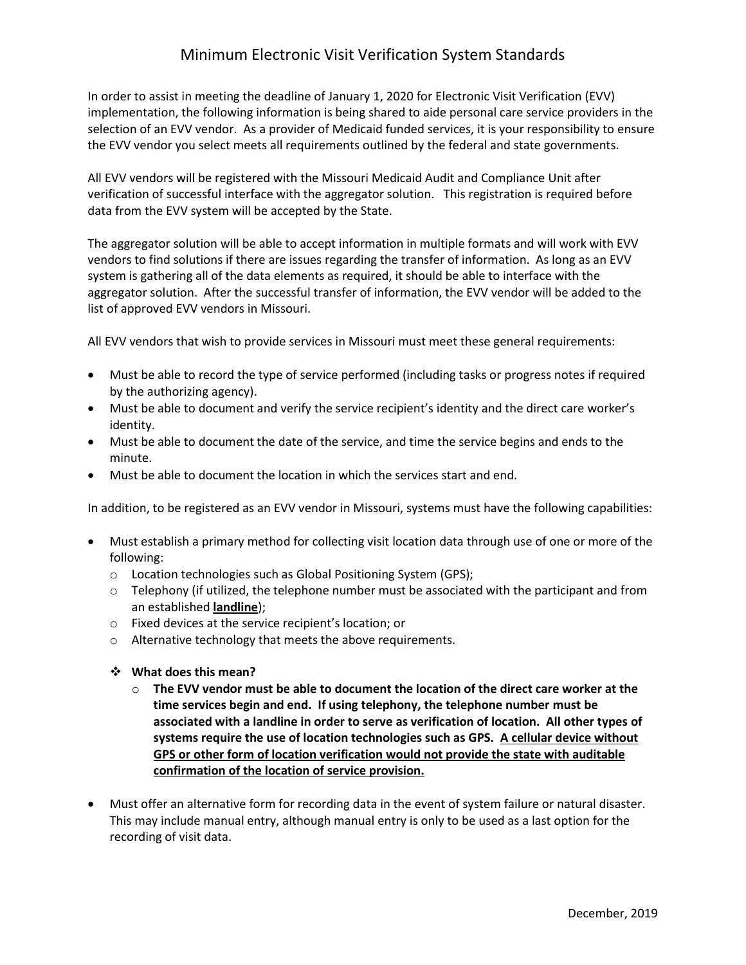## Minimum Electronic Visit Verification System Standards

 selection of an EVV vendor. As a provider of Medicaid funded services, it is your responsibility to ensure In order to assist in meeting the deadline of January 1, 2020 for Electronic Visit Verification (EVV) implementation, the following information is being shared to aide personal care service providers in the the EVV vendor you select meets all requirements outlined by the federal and state governments.

All EVV vendors will be registered with the Missouri Medicaid Audit and Compliance Unit after verification of successful interface with the aggregator solution. This registration is required before data from the EVV system will be accepted by the State.

The aggregator solution will be able to accept information in multiple formats and will work with EVV vendors to find solutions if there are issues regarding the transfer of information. As long as an EVV system is gathering all of the data elements as required, it should be able to interface with the aggregator solution. After the successful transfer of information, the EVV vendor will be added to the list of approved EVV vendors in Missouri.

All EVV vendors that wish to provide services in Missouri must meet these general requirements:

- Must be able to record the type of service performed (including tasks or progress notes if required by the authorizing agency).
- Must be able to document and verify the service recipient's identity and the direct care worker's identity.
- Must be able to document the date of the service, and time the service begins and ends to the minute.
- Must be able to document the location in which the services start and end.

In addition, to be registered as an EVV vendor in Missouri, systems must have the following capabilities:

- Must establish a primary method for collecting visit location data through use of one or more of the following:
	- o Location technologies such as Global Positioning System (GPS);
	- $\circ$  Telephony (if utilized, the telephone number must be associated with the participant and from an established **landline**);
	- o Fixed devices at the service recipient's location; or
	- o Alternative technology that meets the above requirements.
	- **What does this mean?** 
		- **time services begin and end. If using telephony, the telephone number must be associated with a landline in order to serve as verification of location. All other types of systems require the use of location technologies such as GPS. A cellular device without**  o **The EVV vendor must be able to document the location of the direct care worker at the GPS or other form of location verification would not provide the state with auditable confirmation of the location of service provision.**
- Must offer an alternative form for recording data in the event of system failure or natural disaster. This may include manual entry, although manual entry is only to be used as a last option for the recording of visit data.